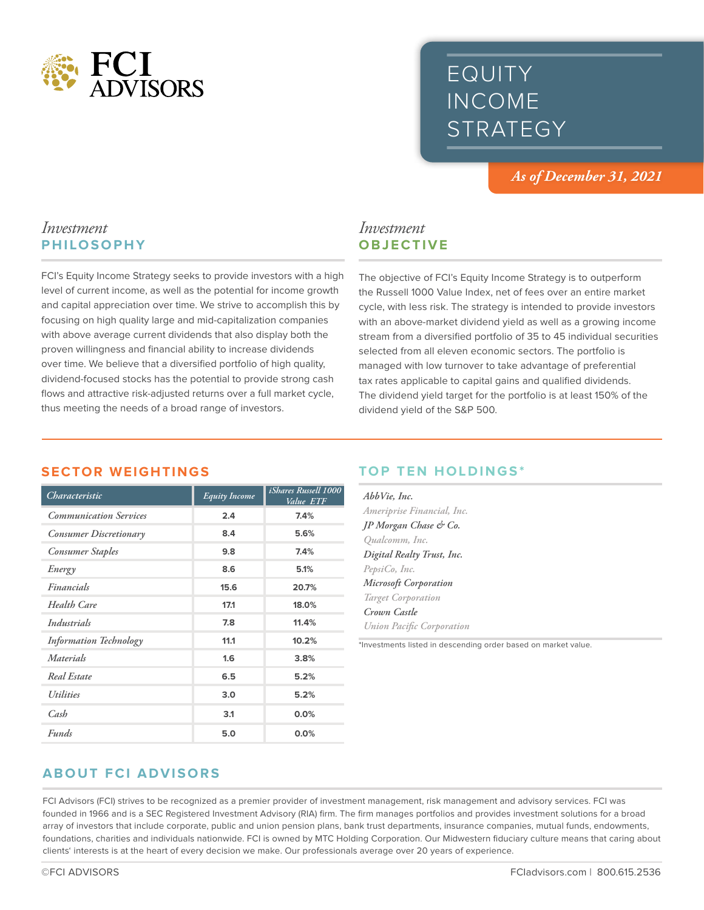

# EQUITY INCOME STRATEGY

*As of December 31, 2021*

#### *Investment* **PHILOSOPHY**

FCI's Equity Income Strategy seeks to provide investors with a high level of current income, as well as the potential for income growth and capital appreciation over time. We strive to accomplish this by focusing on high quality large and mid-capitalization companies with above average current dividends that also display both the proven willingness and financial ability to increase dividends over time. We believe that a diversified portfolio of high quality, dividend-focused stocks has the potential to provide strong cash flows and attractive risk-adjusted returns over a full market cycle, thus meeting the needs of a broad range of investors.

## *Investment* **OBJECTIVE**

The objective of FCI's Equity Income Strategy is to outperform the Russell 1000 Value Index, net of fees over an entire market cycle, with less risk. The strategy is intended to provide investors with an above-market dividend yield as well as a growing income stream from a diversified portfolio of 35 to 45 individual securities selected from all eleven economic sectors. The portfolio is managed with low turnover to take advantage of preferential tax rates applicable to capital gains and qualified dividends. The dividend yield target for the portfolio is at least 150% of the dividend yield of the S&P 500.

| Characteristic                 | <b>Equity Income</b> | <i>iShares Russell</i> 1000<br>Value ETF |
|--------------------------------|----------------------|------------------------------------------|
| <b>Communication Services</b>  | 2.4                  | 7.4%                                     |
| Consumer Discretionary         | 8.4                  | 5.6%                                     |
| <b>Consumer Staples</b>        | 9.8                  | 7.4%                                     |
| Energy                         | 8.6                  | 5.1%                                     |
| Financials                     | 15.6                 | 20.7%                                    |
| Health Care                    | 17.1                 | 18.0%                                    |
| Industrials                    | 7.8                  | 11.4%                                    |
| <b>Information Technology</b>  | 11.1                 | 10.2%                                    |
| <b>Materials</b>               | 1.6                  | 3.8%                                     |
| <b>Real Estate</b>             | 6.5                  | 5.2%                                     |
| <i><u><b>Utilities</b></u></i> | 3.0                  | 5.2%                                     |
| Cash                           | 3.1                  | 0.0%                                     |
| <b>Funds</b>                   | 5.0                  | 0.0%                                     |

## **SECTOR WEIGHTINGS**

## **TOP TEN HOLDINGS\***

| AbbVie, Inc.                     |  |
|----------------------------------|--|
| Ameriprise Financial, Inc.       |  |
| JP Morgan Chase & Co.            |  |
| Qualcomm, Inc.                   |  |
| Digital Realty Trust, Inc.       |  |
| PepsiCo, Inc.                    |  |
| Microsoft Corporation            |  |
| <b>Target Corporation</b>        |  |
| Crown Castle                     |  |
| <b>Union Pacific Corporation</b> |  |

\*Investments listed in descending order based on market value.

## **ABOUT FCI ADVISORS**

FCI Advisors (FCI) strives to be recognized as a premier provider of investment management, risk management and advisory services. FCI was founded in 1966 and is a SEC Registered Investment Advisory (RIA) firm. The firm manages portfolios and provides investment solutions for a broad array of investors that include corporate, public and union pension plans, bank trust departments, insurance companies, mutual funds, endowments, foundations, charities and individuals nationwide. FCI is owned by MTC Holding Corporation. Our Midwestern fiduciary culture means that caring about clients' interests is at the heart of every decision we make. Our professionals average over 20 years of experience.